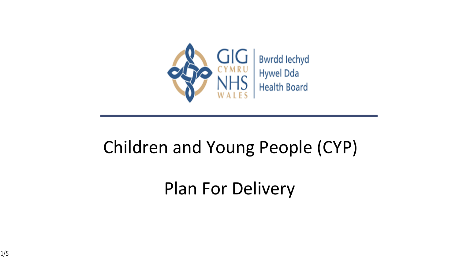

#### Children and Young People (CYP)

### Plan For Delivery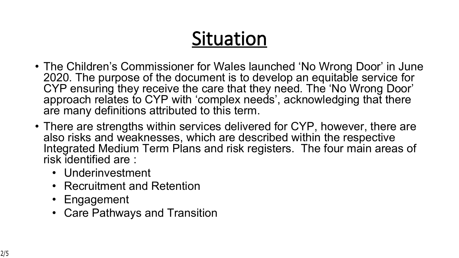# **Situation**

- The Children's Commissioner for Wales launched 'No Wrong Door' in June 2020. The purpose of the document is to develop an equitable service for CYP ensuring they receive the care that they need. The 'No Wrong Door' approach relates to CYP with 'complex needs', acknowledging that there are many definitions attributed to this term.
- There are strengths within services delivered for CYP, however, there are also risks and weaknesses, which are described within the respective Integrated Medium Term Plans and risk registers. The four main areas of risk identified are :
	- Underinvestment
	- Recruitment and Retention
	- Engagement
	- Care Pathways and Transition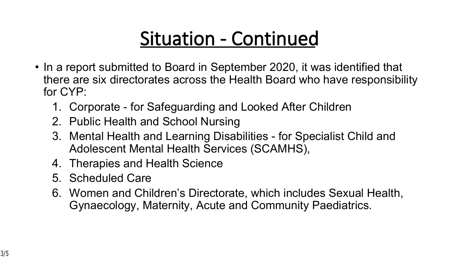## **Situation - Continued**

- In a report submitted to Board in September 2020, it was identified that there are six directorates across the Health Board who have responsibility for CYP:
	- 1. Corporate for Safeguarding and Looked After Children
	- 2. Public Health and School Nursing
	- 3. Mental Health and Learning Disabilities for Specialist Child and Adolescent Mental Health Services (SCAMHS),
	- 4. Therapies and Health Science
	- 5. Scheduled Care
	- 6. Women and Children's Directorate, which includes Sexual Health, Gynaecology, Maternity, Acute and Community Paediatrics.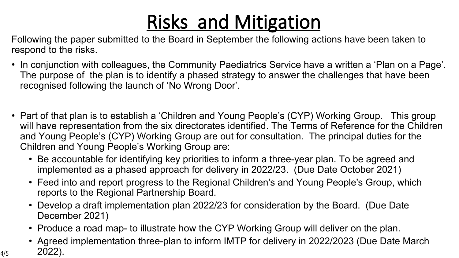# **Risks and Mitigation**

Following the paper submitted to the Board in September the following actions have been taken to respond to the risks.

- In conjunction with colleagues, the Community Paediatrics Service have a written a 'Plan on a Page'. The purpose of the plan is to identify a phased strategy to answer the challenges that have been recognised following the launch of 'No Wrong Door'.
- Part of that plan is to establish a 'Children and Young People's (CYP) Working Group. This group will have representation from the six directorates identified. The Terms of Reference for the Children and Young People's (CYP) Working Group are out for consultation. The principal duties for the Children and Young People's Working Group are:
	- Be accountable for identifying key priorities to inform a three-year plan. To be agreed and implemented as a phased approach for delivery in 2022/23. (Due Date October 2021)
	- Feed into and report progress to the Regional Children's and Young People's Group, which reports to the Regional Partnership Board.
	- Develop a draft implementation plan 2022/23 for consideration by the Board. (Due Date December 2021)
	- Produce a road map- to illustrate how the CYP Working Group will deliver on the plan.
- Agreed implementation three-plan to inform IMTP for delivery in 2022/2023 (Due Date March  $4/5$  2022).